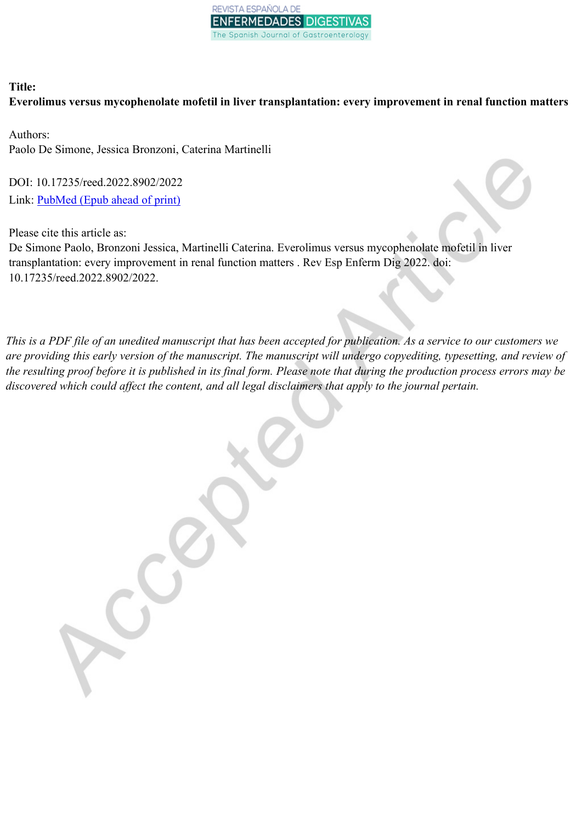

## **Title: Everolimus versus mycophenolate mofetil in liver transplantation: every improvement in renal function matters**

Authors: Paolo De Simone, Jessica Bronzoni, Caterina Martinelli

DOI: 10.17235/reed.2022.8902/2022 Link: [PubMed](https://www.ncbi.nlm.nih.gov/pubmed/?term=10.17235/reed.2022.8902/2022) (Epub ahead of print)

Please cite this article as:

De Simone Paolo, Bronzoni Jessica, Martinelli Caterina. Everolimus versus mycophenolate mofetil in liver transplantation: every improvement in renal function matters . Rev Esp Enferm Dig 2022. doi: 10.17235/reed.2022.8902/2022.

This is a PDF file of an unedited manuscript that has been accepted for publication. As a service to our customers we are providing this early version of the manuscript. The manuscript will undergo copyediting, typesetting, and review of the resulting proof before it is published in its final form. Please note that during the production process errors may be *discovered which could affect the content, and all legal disclaimers that apply to the journal pertain.*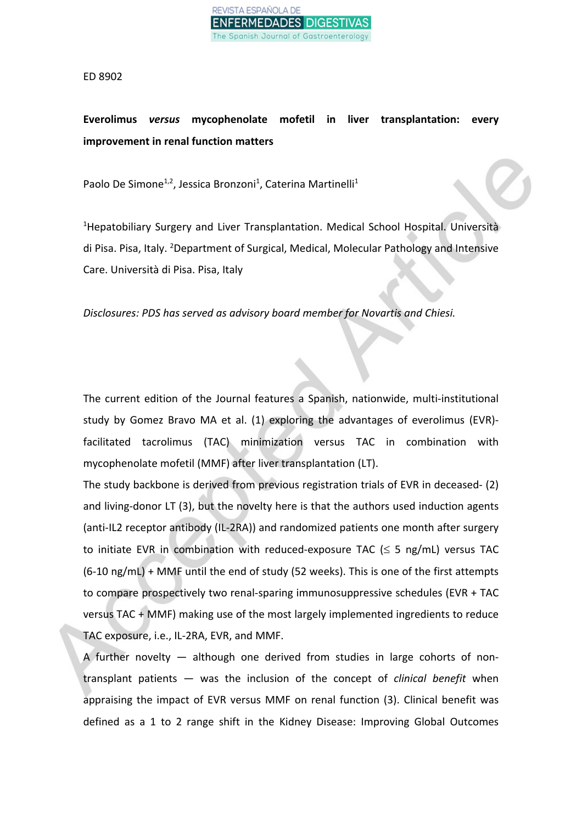

ED 8902

## **Everolimus** *versus* **mycophenolate mofetil in liver transplantation: every improvement in renal function matters**

Paolo De Simone<sup>1,2</sup>, Jessica Bronzoni<sup>1</sup>, Caterina Martinelli<sup>1</sup>

<sup>1</sup>Hepatobiliary Surgery and Liver Transplantation. Medical School Hospital. Università di Pisa. Pisa, Italy. <sup>2</sup>Department of Surgical, Medical, Molecular Pathology and Intensive Care. Università di Pisa. Pisa, Italy

*Disclosures: PDS has served as advisory board member for Novartis and Chiesi.*

The current edition of the Journal features a Spanish, nationwide, multi-institutional study by Gomez Bravo MA et al. (1) exploring the advantages of everolimus (EVR) facilitated tacrolimus (TAC) minimization versus TAC in combination with mycophenolate mofetil (MMF) after liver transplantation (LT).

The study backbone is derived from previous registration trials of EVR in deceased- (2) and living-donor LT (3), but the novelty here is that the authors used induction agents (anti-IL2 receptor antibody (IL-2RA)) and randomized patients one month after surgery to initiate EVR in combination with reduced-exposure TAC  $(\leq 5 \text{ ng/mL})$  versus TAC (6-10 ng/mL) + MMF until the end of study (52 weeks). This is one of the first attempts to compare prospectively two renal-sparing immunosuppressive schedules (EVR + TAC versus TAC + MMF) making use of the most largely implemented ingredients to reduce TAC exposure, i.e., IL-2RA, EVR, and MMF.

A further novelty  $-$  although one derived from studies in large cohorts of nontransplant patients — was the inclusion of the concept of *clinical benefit* when appraising the impact of EVR versus MMF on renal function (3). Clinical benefit was defined as a 1 to 2 range shift in the Kidney Disease: Improving Global Outcomes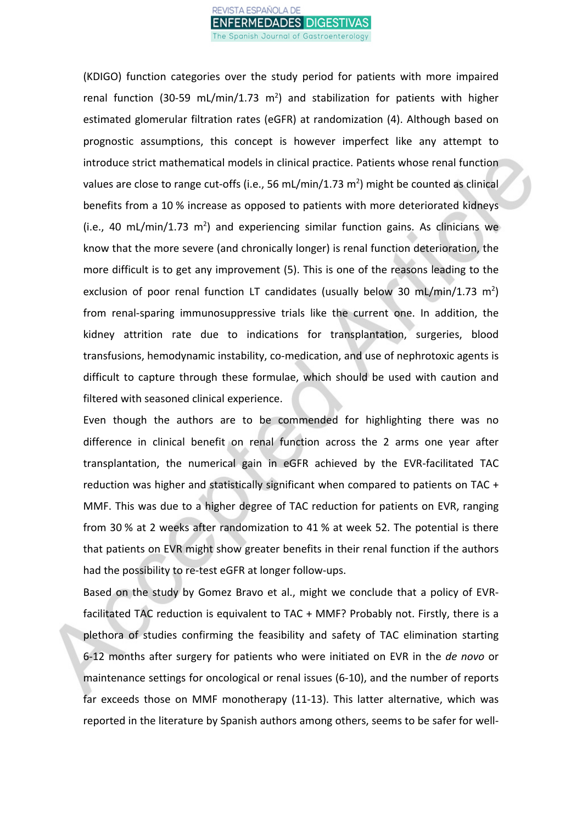

(KDIGO) function categories over the study period for patients with more impaired renal function (30-59 mL/min/1.73  $m^2$ ) and stabilization for patients with higher estimated glomerular filtration rates (eGFR) at randomization (4). Although based on prognostic assumptions, this concept is however imperfect like any attempt to introduce strict mathematical models in clinical practice. Patients whose renal function values are close to range cut-offs (i.e., 56 mL/min/1.73 m<sup>2</sup>) might be counted as clinical benefits from a 10 % increase as opposed to patients with more deteriorated kidneys  $(i.e., 40 mL/min/1.73 m<sup>2</sup>)$  and experiencing similar function gains. As clinicians we know that the more severe (and chronically longer) is renal function deterioration, the more difficult is to get any improvement (5). This is one of the reasons leading to the exclusion of poor renal function LT candidates (usually below 30 mL/min/1.73 m<sup>2</sup>) from renal-sparing immunosuppressive trials like the current one. In addition, the kidney attrition rate due to indications for transplantation, surgeries, blood transfusions, hemodynamic instability, co-medication, and use of nephrotoxic agents is difficult to capture through these formulae, which should be used with caution and filtered with seasoned clinical experience.

Even though the authors are to be commended for highlighting there was no difference in clinical benefit on renal function across the 2 arms one year after transplantation, the numerical gain in eGFR achieved by the EVR-facilitated TAC reduction was higher and statistically significant when compared to patients on TAC + MMF. This was due to a higher degree of TAC reduction for patients on EVR, ranging from 30 % at 2 weeks after randomization to 41 % at week 52. The potential is there that patients on EVR might show greater benefits in their renal function if the authors had the possibility to re-test eGFR at longer follow-ups.

Based on the study by Gomez Bravo et al., might we conclude that a policy of EVRfacilitated TAC reduction is equivalent to TAC + MMF? Probably not. Firstly, there is a plethora of studies confirming the feasibility and safety of TAC elimination starting 6-12 months after surgery for patients who were initiated on EVR in the *de novo* or maintenance settings for oncological or renal issues (6-10), and the number of reports far exceeds those on MMF monotherapy (11-13). This latter alternative, which was reported in the literature by Spanish authors among others, seems to be safer for well-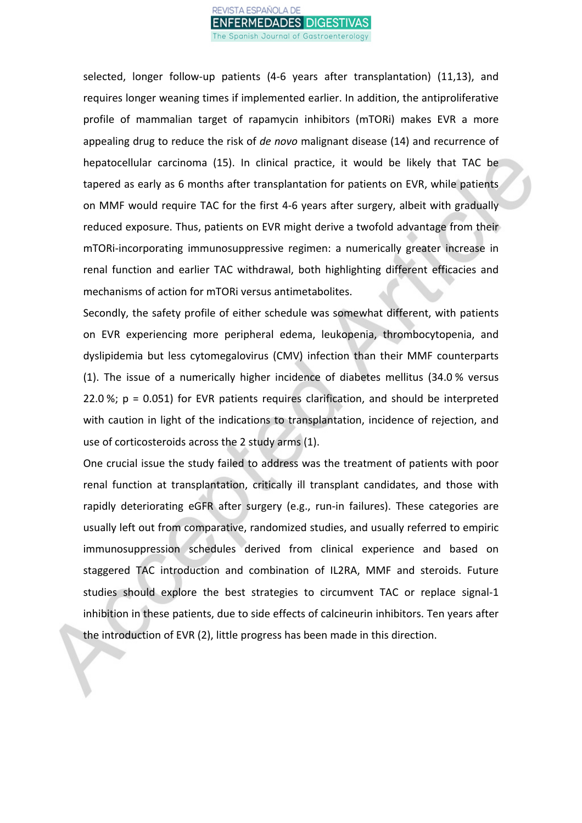

selected, longer follow-up patients (4-6 years after transplantation) (11,13), and requires longer weaning times if implemented earlier. In addition, the antiproliferative profile of mammalian target of rapamycin inhibitors (mTORi) makes EVR a more appealing drug to reduce the risk of *de novo* malignant disease (14) and recurrence of hepatocellular carcinoma (15). In clinical practice, it would be likely that TAC be tapered as early as 6 months after transplantation for patients on EVR, while patients on MMF would require TAC for the first 4-6 years after surgery, albeit with gradually reduced exposure. Thus, patients on EVR might derive a twofold advantage from their mTORi-incorporating immunosuppressive regimen: a numerically greater increase in renal function and earlier TAC withdrawal, both highlighting different efficacies and mechanisms of action for mTORi versus antimetabolites.

Secondly, the safety profile of either schedule was somewhat different, with patients on EVR experiencing more peripheral edema, leukopenia, thrombocytopenia, and dyslipidemia but less cytomegalovirus (CMV) infection than their MMF counterparts (1). The issue of a numerically higher incidence of diabetes mellitus (34.0 % versus 22.0 %;  $p = 0.051$ ) for EVR patients requires clarification, and should be interpreted with caution in light of the indications to transplantation, incidence of rejection, and use of corticosteroids across the 2 study arms (1).

One crucial issue the study failed to address was the treatment of patients with poor renal function at transplantation, critically ill transplant candidates, and those with rapidly deteriorating eGFR after surgery (e.g., run-in failures). These categories are usually left out from comparative, randomized studies, and usually referred to empiric immunosuppression schedules derived from clinical experience and based on staggered TAC introduction and combination of IL2RA, MMF and steroids. Future studies should explore the best strategies to circumvent TAC or replace signal-1 inhibition in these patients, due to side effects of calcineurin inhibitors. Ten years after the introduction of EVR (2), little progress has been made in this direction.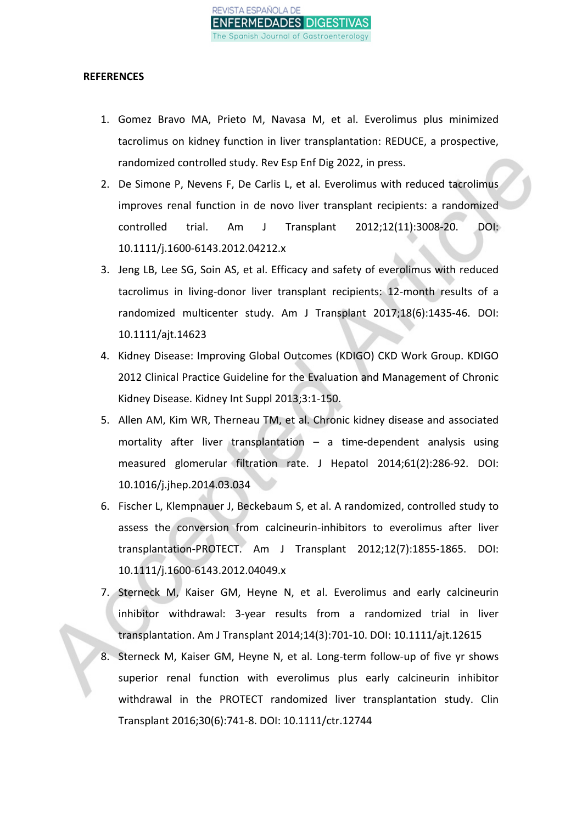

## **REFERENCES**

- 1. Gomez Bravo MA, Prieto M, Navasa M, et al. Everolimus plus minimized tacrolimus on kidney function in liver transplantation: REDUCE, a prospective, randomized controlled study. Rev Esp Enf Dig 2022, in press.
- 2. De Simone P, Nevens F, De Carlis L, et al. Everolimus with reduced tacrolimus improves renal function in de novo liver transplant recipients: a randomized controlled trial. Am J Transplant 2012;12(11):3008-20. DOI: 10.1111/j.1600-6143.2012.04212.x
- 3. Jeng LB, Lee SG, Soin AS, et al. Efficacy and safety of everolimus with reduced tacrolimus in living-donor liver transplant recipients: 12-month results of a randomized multicenter study. Am J Transplant 2017;18(6):1435-46. DOI: 10.1111/ajt.14623
- 4. Kidney Disease: Improving Global Outcomes (KDIGO) CKD Work Group. KDIGO 2012 Clinical Practice Guideline for the Evaluation and Management of Chronic Kidney Disease. Kidney Int Suppl 2013;3:1-150.
- 5. Allen AM, Kim WR, Therneau TM, et al. Chronic kidney disease and associated mortality after liver transplantation – a time-dependent analysis using measured glomerular filtration rate. J Hepatol 2014;61(2):286-92. DOI: 10.1016/j.jhep.2014.03.034
- 6. Fischer L, Klempnauer J, Beckebaum S, et al. A randomized, controlled study to assess the conversion from calcineurin-inhibitors to everolimus after liver transplantation-PROTECT. Am J Transplant 2012;12(7):1855-1865. DOI: 10.1111/j.1600-6143.2012.04049.x
- 7. Sterneck M, Kaiser GM, Heyne N, et al. Everolimus and early calcineurin inhibitor withdrawal: 3-year results from a randomized trial in liver transplantation. Am J Transplant 2014;14(3):701-10. DOI: 10.1111/ajt.12615
- 8. Sterneck M, Kaiser GM, Heyne N, et al. Long-term follow-up of five yr shows superior renal function with everolimus plus early calcineurin inhibitor withdrawal in the PROTECT randomized liver transplantation study. Clin Transplant 2016;30(6):741-8. DOI: 10.1111/ctr.12744